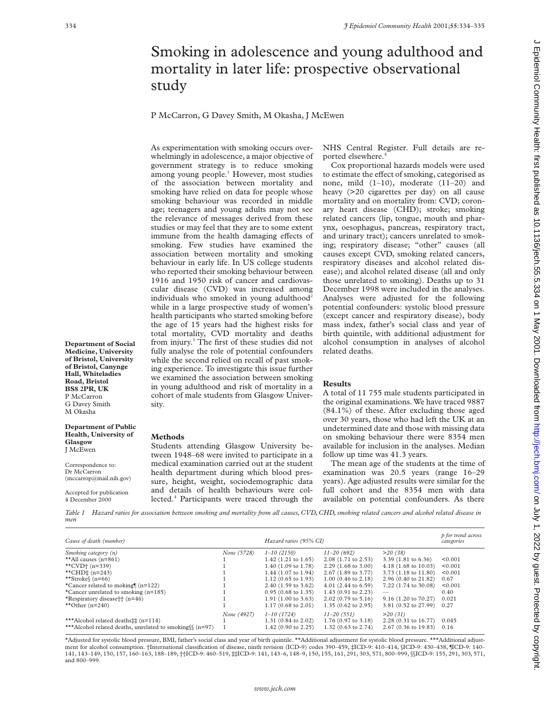## Smoking in adolescence and young adulthood and mortality in later life: prospective observational study

P McCarron, G Davey Smith, M Okasha, J McEwen

As experimentation with smoking occurs overwhelmingly in adolescence, a major objective of government strategy is to reduce smoking among young people.<sup>1</sup> However, most studies of the association between mortality and smoking have relied on data for people whose smoking behaviour was recorded in middle age; teenagers and young adults may not see the relevance of messages derived from these studies or may feel that they are to some extent immune from the health damaging effects of smoking. Few studies have examined the association between mortality and smoking behaviour in early life. In US college students who reported their smoking behaviour between 1916 and 1950 risk of cancer and cardiovascular disease (CVD) was increased among individuals who smoked in young adulthood<sup>2</sup> while in a large prospective study of women's health participants who started smoking before the age of 15 years had the highest risks for total mortality, CVD mortality and deaths from injury.3 The first of these studies did not fully analyse the role of potential confounders while the second relied on recall of past smoking experience. To investigate this issue further we examined the association between smoking in young adulthood and risk of mortality in a cohort of male students from Glasgow University.

Students attending Glasgow University between 1948–68 were invited to participate in a medical examination carried out at the student health department during which blood pressure, height, weight, sociodemographic data and details of health behaviours were collected.<sup>4</sup> Participants were traced through the NHS Central Register. Full details are reported elsewhere.

Cox proportional hazards models were used to estimate the effect of smoking, categorised as none, mild (1–10), moderate (11–20) and heavy (>20 cigarettes per day) on all cause mortality and on mortality from: CVD; coronary heart disease (CHD); stroke; smoking related cancers (lip, tongue, mouth and pharynx, oesophagus, pancreas, respiratory tract, and urinary tract); cancers unrelated to smoking; respiratory disease; "other" causes (all causes except CVD, smoking related cancers, respiratory diseases and alcohol related disease); and alcohol related disease (all and only those unrelated to smoking). Deaths up to 31 December 1998 were included in the analyses. Analyses were adjusted for the following potential confounders: systolic blood pressure (except cancer and respiratory disease), body mass index, father's social class and year of birth quintile, with additional adjustment for alcohol consumption in analyses of alcohol related deaths.

## **Results**

A total of 11 755 male students participated in the original examinations. We have traced 9887 (84.1%) of these. After excluding those aged over 30 years, those who had left the UK at an undetermined date and those with missing data on smoking behaviour there were 8354 men available for inclusion in the analyses. Median follow up time was 41.3 years.

The mean age of the students at the time of examination was 20.5 years (range 16–29 years). Age adjusted results were similar for the full cohort and the 8354 men with data available on potential confounders. As there

*Table 1 Hazard ratios for association between smoking and mortality from all causes, CVD, CHD, smoking related cancers and alcohol related disease in men*

| Cause of death (number)                                  | Hazard ratios (95% CI) |                               |                                | p for trend across<br>categories |         |
|----------------------------------------------------------|------------------------|-------------------------------|--------------------------------|----------------------------------|---------|
| Smoking category $(n)$                                   | None (5728)            | $1 - 10(2150)$                | $11 - 20(692)$                 | >20(38)                          |         |
| **All causes $(n=861)$                                   |                        | $1.42$ (1.21 to 1.65)         | $2.08(1.71 \text{ to } 2.53)$  | $3.39(1.81 \text{ to } 6.36)$    | < 0.001 |
| **CVD $+$ (n=339)                                        |                        | $1.40$ (1.09 to 1.78)         | $2.29$ (1.68 to 3.00)          | $4.18(1.68 \text{ to } 10.03)$   | < 0.001 |
| **CHD‡ $(n=243)$                                         |                        | $1.44$ (1.07 to 1.94)         | 2.67 (1.89 to 3.77)            | 3.73 (1.18 to 11.80)             | < 0.001 |
| **Stroke $(n=66)$                                        |                        | $1.12(0.65 \text{ to } 1.93)$ | $1.00$ (0.46 to 2.18)          | 2.96 (0.40 to 21.82)             | 0.67    |
| *Cancer related to moking $(n=122)$                      |                        | 2.40 (1.59 to 3.62)           | $4.01(2.44 \text{ to } 6.59)$  | 7.22 (1.74 to 30.08)             | < 0.001 |
| *Cancer unrelated to smoking $(n=185)$                   |                        | $0.95(0.68 \text{ to } 1.35)$ | $1.43(0.91)$ to 2.23)          | $\hspace{0.05cm}$                | 0.40    |
| *Respiratory disease $\uparrow$ (n=46)                   |                        | $1.91(1.00 \text{ to } 3.63)$ | $2.02$ (0.79 to 5.16)          | $9.16(1.20 \text{ to } 70.27)$   | 0.021   |
| **Other $(n=240)$                                        |                        | $1.17(0.68 \text{ to } 2.01)$ | 1.35 $(0.62 \text{ to } 2.95)$ | 3.81 (0.52 to 27.99)             | 0.27    |
|                                                          | None (4927)            | $1 - 10(1724)$                | $11 - 20(551)$                 | >20(31)                          |         |
| ***Alcohol related deaths## (n=114)                      |                        | 1.31 (0.84 to 2.02)           | $1.76(0.97 \text{ to } 3.18)$  | $2.28(0.31)$ to $16.77$ )        | 0.045   |
| ***Alcohol related deaths, unrelated to smoking \ (n=97) |                        | $1.42(0.90 \text{ to } 2.25)$ | 1.32 $(0.63 \text{ to } 2.74)$ | $2.67(0.36 \text{ to } 19.83)$   | 0.16    |

\*Adjusted for systolic blood pressure, BMI, father's social class and year of birth quintile. \*\*Additional adjustment for systolic blood pressure. \*\*\*Additional adjustment for alcohol consumption. †International classification of disease, ninth revision (ICD-9) codes 390-459, ‡ICD-9: 410-414, §ICD-9: 430-438, ¶CD-9: 140-141, 143–149, 150, 157, 160–163, 188–189, ††ICD-9: 460–519, ‡‡ICD-9: 141, 143–6, 148–9, 150, 155, 161, 291, 303, 571, 800–999, §§ICD-9: 155, 291, 303, 571, and 800–999.

**Department of Social Medicine, University of Bristol, University of Bristol, Canynge Hall, Whiteladies Road, Bristol BS8 2PR, UK** P McCarron G Davey Smith M Okasha

## **Department of Public Health, University of Glasgow** J McEwen

**Methods**

Correspondence to: Dr McCarron (mccarrop@mail.nih.gov)

Accepted for publication 4 December 2000